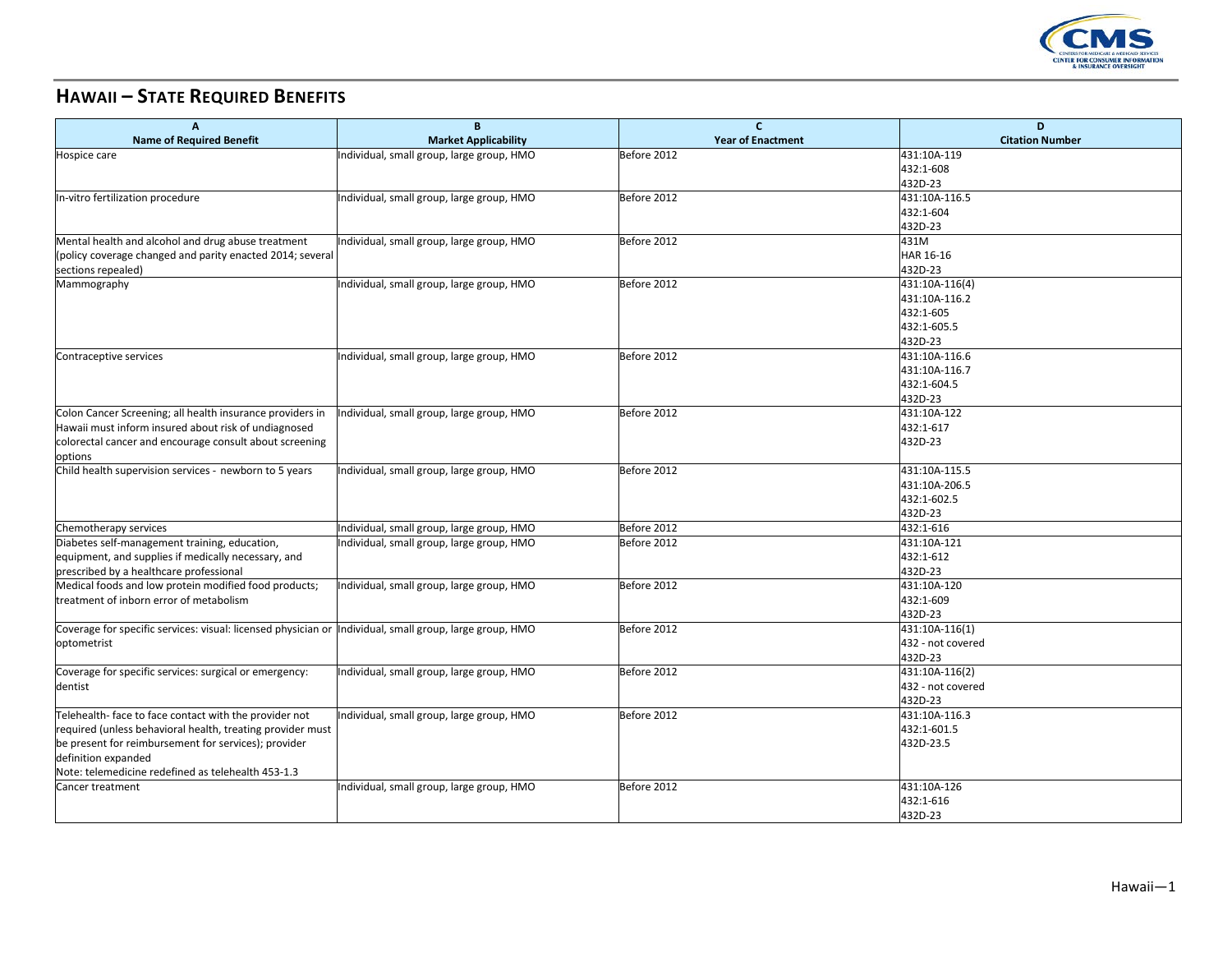

## **HAWAII – STATE REQUIRED BENEFITS**

| <b>Name of Required Benefit</b><br><b>Market Applicability</b><br><b>Year of Enactment</b><br><b>Citation Number</b><br>431:10A-119<br>Hospice care<br>Individual, small group, large group, HMO<br>Before 2012<br>432:1-608<br>432D-23<br>431:10A-116.5<br>Individual, small group, large group, HMO<br>Before 2012<br>In-vitro fertilization procedure<br>432:1-604<br>432D-23<br>Mental health and alcohol and drug abuse treatment<br>Individual, small group, large group, HMO<br>431M<br>Before 2012<br>HAR 16-16<br>(policy coverage changed and parity enacted 2014; several<br>432D-23<br>sections repealed)<br>Before 2012<br>431:10A-116(4)<br>Mammography<br>Individual, small group, large group, HMO<br>431:10A-116.2<br>432:1-605<br>432:1-605.5<br>432D-23<br>431:10A-116.6<br>Contraceptive services<br>Individual, small group, large group, HMO<br>Before 2012<br>431:10A-116.7<br>432:1-604.5<br>432D-23<br>431:10A-122<br>Colon Cancer Screening; all health insurance providers in<br>ndividual, small group, large group, HMO<br>Before 2012<br>432:1-617<br>Hawaii must inform insured about risk of undiagnosed<br>432D-23<br>colorectal cancer and encourage consult about screening<br>options<br>Child health supervision services - newborn to 5 years<br>Individual, small group, large group, HMO<br>Before 2012<br>431:10A-115.5<br>431:10A-206.5<br>432:1-602.5<br>432D-23<br>Chemotherapy services<br>Before 2012<br>432:1-616<br>Individual, small group, large group, HMO<br>Diabetes self-management training, education,<br>Individual, small group, large group, HMO<br>Before 2012<br>431:10A-121<br>432:1-612<br>equipment, and supplies if medically necessary, and<br>432D-23<br>prescribed by a healthcare professional<br>Medical foods and low protein modified food products;<br>431:10A-120<br>Individual, small group, large group, HMO<br>Before 2012<br>treatment of inborn error of metabolism<br>432:1-609<br>432D-23<br>Coverage for specific services: visual: licensed physician or  Individual, small group, large group, HMO<br>Before 2012<br>431:10A-116(1)<br>432 - not covered<br>optometrist<br>432D-23<br>Individual, small group, large group, HMO<br>431:10A-116(2)<br>Coverage for specific services: surgical or emergency:<br>Before 2012<br>432 - not covered<br>dentist<br>432D-23<br>431:10A-116.3<br>Telehealth-face to face contact with the provider not<br>Individual, small group, large group, HMO<br>Before 2012<br>432:1-601.5<br>required (unless behavioral health, treating provider must<br>432D-23.5<br>be present for reimbursement for services); provider<br>definition expanded<br>Note: telemedicine redefined as telehealth 453-1.3<br>Individual, small group, large group, HMO<br>Before 2012<br>431:10A-126<br><b>Cancer treatment</b><br>432:1-616<br>432D-23 | A | B | C | D |
|--------------------------------------------------------------------------------------------------------------------------------------------------------------------------------------------------------------------------------------------------------------------------------------------------------------------------------------------------------------------------------------------------------------------------------------------------------------------------------------------------------------------------------------------------------------------------------------------------------------------------------------------------------------------------------------------------------------------------------------------------------------------------------------------------------------------------------------------------------------------------------------------------------------------------------------------------------------------------------------------------------------------------------------------------------------------------------------------------------------------------------------------------------------------------------------------------------------------------------------------------------------------------------------------------------------------------------------------------------------------------------------------------------------------------------------------------------------------------------------------------------------------------------------------------------------------------------------------------------------------------------------------------------------------------------------------------------------------------------------------------------------------------------------------------------------------------------------------------------------------------------------------------------------------------------------------------------------------------------------------------------------------------------------------------------------------------------------------------------------------------------------------------------------------------------------------------------------------------------------------------------------------------------------------------------------------------------------------------------------------------------------------------------------------------------------------------------------------------------------------------------------------------------------------------------------------------------------------------------------------------------------------------------------------------------------------------------------------------------------------------------------------------------------------------------------------------------------------------------------|---|---|---|---|
|                                                                                                                                                                                                                                                                                                                                                                                                                                                                                                                                                                                                                                                                                                                                                                                                                                                                                                                                                                                                                                                                                                                                                                                                                                                                                                                                                                                                                                                                                                                                                                                                                                                                                                                                                                                                                                                                                                                                                                                                                                                                                                                                                                                                                                                                                                                                                                                                                                                                                                                                                                                                                                                                                                                                                                                                                                                              |   |   |   |   |
|                                                                                                                                                                                                                                                                                                                                                                                                                                                                                                                                                                                                                                                                                                                                                                                                                                                                                                                                                                                                                                                                                                                                                                                                                                                                                                                                                                                                                                                                                                                                                                                                                                                                                                                                                                                                                                                                                                                                                                                                                                                                                                                                                                                                                                                                                                                                                                                                                                                                                                                                                                                                                                                                                                                                                                                                                                                              |   |   |   |   |
|                                                                                                                                                                                                                                                                                                                                                                                                                                                                                                                                                                                                                                                                                                                                                                                                                                                                                                                                                                                                                                                                                                                                                                                                                                                                                                                                                                                                                                                                                                                                                                                                                                                                                                                                                                                                                                                                                                                                                                                                                                                                                                                                                                                                                                                                                                                                                                                                                                                                                                                                                                                                                                                                                                                                                                                                                                                              |   |   |   |   |
|                                                                                                                                                                                                                                                                                                                                                                                                                                                                                                                                                                                                                                                                                                                                                                                                                                                                                                                                                                                                                                                                                                                                                                                                                                                                                                                                                                                                                                                                                                                                                                                                                                                                                                                                                                                                                                                                                                                                                                                                                                                                                                                                                                                                                                                                                                                                                                                                                                                                                                                                                                                                                                                                                                                                                                                                                                                              |   |   |   |   |
|                                                                                                                                                                                                                                                                                                                                                                                                                                                                                                                                                                                                                                                                                                                                                                                                                                                                                                                                                                                                                                                                                                                                                                                                                                                                                                                                                                                                                                                                                                                                                                                                                                                                                                                                                                                                                                                                                                                                                                                                                                                                                                                                                                                                                                                                                                                                                                                                                                                                                                                                                                                                                                                                                                                                                                                                                                                              |   |   |   |   |
|                                                                                                                                                                                                                                                                                                                                                                                                                                                                                                                                                                                                                                                                                                                                                                                                                                                                                                                                                                                                                                                                                                                                                                                                                                                                                                                                                                                                                                                                                                                                                                                                                                                                                                                                                                                                                                                                                                                                                                                                                                                                                                                                                                                                                                                                                                                                                                                                                                                                                                                                                                                                                                                                                                                                                                                                                                                              |   |   |   |   |
|                                                                                                                                                                                                                                                                                                                                                                                                                                                                                                                                                                                                                                                                                                                                                                                                                                                                                                                                                                                                                                                                                                                                                                                                                                                                                                                                                                                                                                                                                                                                                                                                                                                                                                                                                                                                                                                                                                                                                                                                                                                                                                                                                                                                                                                                                                                                                                                                                                                                                                                                                                                                                                                                                                                                                                                                                                                              |   |   |   |   |
|                                                                                                                                                                                                                                                                                                                                                                                                                                                                                                                                                                                                                                                                                                                                                                                                                                                                                                                                                                                                                                                                                                                                                                                                                                                                                                                                                                                                                                                                                                                                                                                                                                                                                                                                                                                                                                                                                                                                                                                                                                                                                                                                                                                                                                                                                                                                                                                                                                                                                                                                                                                                                                                                                                                                                                                                                                                              |   |   |   |   |
|                                                                                                                                                                                                                                                                                                                                                                                                                                                                                                                                                                                                                                                                                                                                                                                                                                                                                                                                                                                                                                                                                                                                                                                                                                                                                                                                                                                                                                                                                                                                                                                                                                                                                                                                                                                                                                                                                                                                                                                                                                                                                                                                                                                                                                                                                                                                                                                                                                                                                                                                                                                                                                                                                                                                                                                                                                                              |   |   |   |   |
|                                                                                                                                                                                                                                                                                                                                                                                                                                                                                                                                                                                                                                                                                                                                                                                                                                                                                                                                                                                                                                                                                                                                                                                                                                                                                                                                                                                                                                                                                                                                                                                                                                                                                                                                                                                                                                                                                                                                                                                                                                                                                                                                                                                                                                                                                                                                                                                                                                                                                                                                                                                                                                                                                                                                                                                                                                                              |   |   |   |   |
|                                                                                                                                                                                                                                                                                                                                                                                                                                                                                                                                                                                                                                                                                                                                                                                                                                                                                                                                                                                                                                                                                                                                                                                                                                                                                                                                                                                                                                                                                                                                                                                                                                                                                                                                                                                                                                                                                                                                                                                                                                                                                                                                                                                                                                                                                                                                                                                                                                                                                                                                                                                                                                                                                                                                                                                                                                                              |   |   |   |   |
|                                                                                                                                                                                                                                                                                                                                                                                                                                                                                                                                                                                                                                                                                                                                                                                                                                                                                                                                                                                                                                                                                                                                                                                                                                                                                                                                                                                                                                                                                                                                                                                                                                                                                                                                                                                                                                                                                                                                                                                                                                                                                                                                                                                                                                                                                                                                                                                                                                                                                                                                                                                                                                                                                                                                                                                                                                                              |   |   |   |   |
|                                                                                                                                                                                                                                                                                                                                                                                                                                                                                                                                                                                                                                                                                                                                                                                                                                                                                                                                                                                                                                                                                                                                                                                                                                                                                                                                                                                                                                                                                                                                                                                                                                                                                                                                                                                                                                                                                                                                                                                                                                                                                                                                                                                                                                                                                                                                                                                                                                                                                                                                                                                                                                                                                                                                                                                                                                                              |   |   |   |   |
|                                                                                                                                                                                                                                                                                                                                                                                                                                                                                                                                                                                                                                                                                                                                                                                                                                                                                                                                                                                                                                                                                                                                                                                                                                                                                                                                                                                                                                                                                                                                                                                                                                                                                                                                                                                                                                                                                                                                                                                                                                                                                                                                                                                                                                                                                                                                                                                                                                                                                                                                                                                                                                                                                                                                                                                                                                                              |   |   |   |   |
|                                                                                                                                                                                                                                                                                                                                                                                                                                                                                                                                                                                                                                                                                                                                                                                                                                                                                                                                                                                                                                                                                                                                                                                                                                                                                                                                                                                                                                                                                                                                                                                                                                                                                                                                                                                                                                                                                                                                                                                                                                                                                                                                                                                                                                                                                                                                                                                                                                                                                                                                                                                                                                                                                                                                                                                                                                                              |   |   |   |   |
|                                                                                                                                                                                                                                                                                                                                                                                                                                                                                                                                                                                                                                                                                                                                                                                                                                                                                                                                                                                                                                                                                                                                                                                                                                                                                                                                                                                                                                                                                                                                                                                                                                                                                                                                                                                                                                                                                                                                                                                                                                                                                                                                                                                                                                                                                                                                                                                                                                                                                                                                                                                                                                                                                                                                                                                                                                                              |   |   |   |   |
|                                                                                                                                                                                                                                                                                                                                                                                                                                                                                                                                                                                                                                                                                                                                                                                                                                                                                                                                                                                                                                                                                                                                                                                                                                                                                                                                                                                                                                                                                                                                                                                                                                                                                                                                                                                                                                                                                                                                                                                                                                                                                                                                                                                                                                                                                                                                                                                                                                                                                                                                                                                                                                                                                                                                                                                                                                                              |   |   |   |   |
|                                                                                                                                                                                                                                                                                                                                                                                                                                                                                                                                                                                                                                                                                                                                                                                                                                                                                                                                                                                                                                                                                                                                                                                                                                                                                                                                                                                                                                                                                                                                                                                                                                                                                                                                                                                                                                                                                                                                                                                                                                                                                                                                                                                                                                                                                                                                                                                                                                                                                                                                                                                                                                                                                                                                                                                                                                                              |   |   |   |   |
|                                                                                                                                                                                                                                                                                                                                                                                                                                                                                                                                                                                                                                                                                                                                                                                                                                                                                                                                                                                                                                                                                                                                                                                                                                                                                                                                                                                                                                                                                                                                                                                                                                                                                                                                                                                                                                                                                                                                                                                                                                                                                                                                                                                                                                                                                                                                                                                                                                                                                                                                                                                                                                                                                                                                                                                                                                                              |   |   |   |   |
|                                                                                                                                                                                                                                                                                                                                                                                                                                                                                                                                                                                                                                                                                                                                                                                                                                                                                                                                                                                                                                                                                                                                                                                                                                                                                                                                                                                                                                                                                                                                                                                                                                                                                                                                                                                                                                                                                                                                                                                                                                                                                                                                                                                                                                                                                                                                                                                                                                                                                                                                                                                                                                                                                                                                                                                                                                                              |   |   |   |   |
|                                                                                                                                                                                                                                                                                                                                                                                                                                                                                                                                                                                                                                                                                                                                                                                                                                                                                                                                                                                                                                                                                                                                                                                                                                                                                                                                                                                                                                                                                                                                                                                                                                                                                                                                                                                                                                                                                                                                                                                                                                                                                                                                                                                                                                                                                                                                                                                                                                                                                                                                                                                                                                                                                                                                                                                                                                                              |   |   |   |   |
|                                                                                                                                                                                                                                                                                                                                                                                                                                                                                                                                                                                                                                                                                                                                                                                                                                                                                                                                                                                                                                                                                                                                                                                                                                                                                                                                                                                                                                                                                                                                                                                                                                                                                                                                                                                                                                                                                                                                                                                                                                                                                                                                                                                                                                                                                                                                                                                                                                                                                                                                                                                                                                                                                                                                                                                                                                                              |   |   |   |   |
|                                                                                                                                                                                                                                                                                                                                                                                                                                                                                                                                                                                                                                                                                                                                                                                                                                                                                                                                                                                                                                                                                                                                                                                                                                                                                                                                                                                                                                                                                                                                                                                                                                                                                                                                                                                                                                                                                                                                                                                                                                                                                                                                                                                                                                                                                                                                                                                                                                                                                                                                                                                                                                                                                                                                                                                                                                                              |   |   |   |   |
|                                                                                                                                                                                                                                                                                                                                                                                                                                                                                                                                                                                                                                                                                                                                                                                                                                                                                                                                                                                                                                                                                                                                                                                                                                                                                                                                                                                                                                                                                                                                                                                                                                                                                                                                                                                                                                                                                                                                                                                                                                                                                                                                                                                                                                                                                                                                                                                                                                                                                                                                                                                                                                                                                                                                                                                                                                                              |   |   |   |   |
|                                                                                                                                                                                                                                                                                                                                                                                                                                                                                                                                                                                                                                                                                                                                                                                                                                                                                                                                                                                                                                                                                                                                                                                                                                                                                                                                                                                                                                                                                                                                                                                                                                                                                                                                                                                                                                                                                                                                                                                                                                                                                                                                                                                                                                                                                                                                                                                                                                                                                                                                                                                                                                                                                                                                                                                                                                                              |   |   |   |   |
|                                                                                                                                                                                                                                                                                                                                                                                                                                                                                                                                                                                                                                                                                                                                                                                                                                                                                                                                                                                                                                                                                                                                                                                                                                                                                                                                                                                                                                                                                                                                                                                                                                                                                                                                                                                                                                                                                                                                                                                                                                                                                                                                                                                                                                                                                                                                                                                                                                                                                                                                                                                                                                                                                                                                                                                                                                                              |   |   |   |   |
|                                                                                                                                                                                                                                                                                                                                                                                                                                                                                                                                                                                                                                                                                                                                                                                                                                                                                                                                                                                                                                                                                                                                                                                                                                                                                                                                                                                                                                                                                                                                                                                                                                                                                                                                                                                                                                                                                                                                                                                                                                                                                                                                                                                                                                                                                                                                                                                                                                                                                                                                                                                                                                                                                                                                                                                                                                                              |   |   |   |   |
|                                                                                                                                                                                                                                                                                                                                                                                                                                                                                                                                                                                                                                                                                                                                                                                                                                                                                                                                                                                                                                                                                                                                                                                                                                                                                                                                                                                                                                                                                                                                                                                                                                                                                                                                                                                                                                                                                                                                                                                                                                                                                                                                                                                                                                                                                                                                                                                                                                                                                                                                                                                                                                                                                                                                                                                                                                                              |   |   |   |   |
|                                                                                                                                                                                                                                                                                                                                                                                                                                                                                                                                                                                                                                                                                                                                                                                                                                                                                                                                                                                                                                                                                                                                                                                                                                                                                                                                                                                                                                                                                                                                                                                                                                                                                                                                                                                                                                                                                                                                                                                                                                                                                                                                                                                                                                                                                                                                                                                                                                                                                                                                                                                                                                                                                                                                                                                                                                                              |   |   |   |   |
|                                                                                                                                                                                                                                                                                                                                                                                                                                                                                                                                                                                                                                                                                                                                                                                                                                                                                                                                                                                                                                                                                                                                                                                                                                                                                                                                                                                                                                                                                                                                                                                                                                                                                                                                                                                                                                                                                                                                                                                                                                                                                                                                                                                                                                                                                                                                                                                                                                                                                                                                                                                                                                                                                                                                                                                                                                                              |   |   |   |   |
|                                                                                                                                                                                                                                                                                                                                                                                                                                                                                                                                                                                                                                                                                                                                                                                                                                                                                                                                                                                                                                                                                                                                                                                                                                                                                                                                                                                                                                                                                                                                                                                                                                                                                                                                                                                                                                                                                                                                                                                                                                                                                                                                                                                                                                                                                                                                                                                                                                                                                                                                                                                                                                                                                                                                                                                                                                                              |   |   |   |   |
|                                                                                                                                                                                                                                                                                                                                                                                                                                                                                                                                                                                                                                                                                                                                                                                                                                                                                                                                                                                                                                                                                                                                                                                                                                                                                                                                                                                                                                                                                                                                                                                                                                                                                                                                                                                                                                                                                                                                                                                                                                                                                                                                                                                                                                                                                                                                                                                                                                                                                                                                                                                                                                                                                                                                                                                                                                                              |   |   |   |   |
|                                                                                                                                                                                                                                                                                                                                                                                                                                                                                                                                                                                                                                                                                                                                                                                                                                                                                                                                                                                                                                                                                                                                                                                                                                                                                                                                                                                                                                                                                                                                                                                                                                                                                                                                                                                                                                                                                                                                                                                                                                                                                                                                                                                                                                                                                                                                                                                                                                                                                                                                                                                                                                                                                                                                                                                                                                                              |   |   |   |   |
|                                                                                                                                                                                                                                                                                                                                                                                                                                                                                                                                                                                                                                                                                                                                                                                                                                                                                                                                                                                                                                                                                                                                                                                                                                                                                                                                                                                                                                                                                                                                                                                                                                                                                                                                                                                                                                                                                                                                                                                                                                                                                                                                                                                                                                                                                                                                                                                                                                                                                                                                                                                                                                                                                                                                                                                                                                                              |   |   |   |   |
|                                                                                                                                                                                                                                                                                                                                                                                                                                                                                                                                                                                                                                                                                                                                                                                                                                                                                                                                                                                                                                                                                                                                                                                                                                                                                                                                                                                                                                                                                                                                                                                                                                                                                                                                                                                                                                                                                                                                                                                                                                                                                                                                                                                                                                                                                                                                                                                                                                                                                                                                                                                                                                                                                                                                                                                                                                                              |   |   |   |   |
|                                                                                                                                                                                                                                                                                                                                                                                                                                                                                                                                                                                                                                                                                                                                                                                                                                                                                                                                                                                                                                                                                                                                                                                                                                                                                                                                                                                                                                                                                                                                                                                                                                                                                                                                                                                                                                                                                                                                                                                                                                                                                                                                                                                                                                                                                                                                                                                                                                                                                                                                                                                                                                                                                                                                                                                                                                                              |   |   |   |   |
|                                                                                                                                                                                                                                                                                                                                                                                                                                                                                                                                                                                                                                                                                                                                                                                                                                                                                                                                                                                                                                                                                                                                                                                                                                                                                                                                                                                                                                                                                                                                                                                                                                                                                                                                                                                                                                                                                                                                                                                                                                                                                                                                                                                                                                                                                                                                                                                                                                                                                                                                                                                                                                                                                                                                                                                                                                                              |   |   |   |   |
|                                                                                                                                                                                                                                                                                                                                                                                                                                                                                                                                                                                                                                                                                                                                                                                                                                                                                                                                                                                                                                                                                                                                                                                                                                                                                                                                                                                                                                                                                                                                                                                                                                                                                                                                                                                                                                                                                                                                                                                                                                                                                                                                                                                                                                                                                                                                                                                                                                                                                                                                                                                                                                                                                                                                                                                                                                                              |   |   |   |   |
|                                                                                                                                                                                                                                                                                                                                                                                                                                                                                                                                                                                                                                                                                                                                                                                                                                                                                                                                                                                                                                                                                                                                                                                                                                                                                                                                                                                                                                                                                                                                                                                                                                                                                                                                                                                                                                                                                                                                                                                                                                                                                                                                                                                                                                                                                                                                                                                                                                                                                                                                                                                                                                                                                                                                                                                                                                                              |   |   |   |   |
|                                                                                                                                                                                                                                                                                                                                                                                                                                                                                                                                                                                                                                                                                                                                                                                                                                                                                                                                                                                                                                                                                                                                                                                                                                                                                                                                                                                                                                                                                                                                                                                                                                                                                                                                                                                                                                                                                                                                                                                                                                                                                                                                                                                                                                                                                                                                                                                                                                                                                                                                                                                                                                                                                                                                                                                                                                                              |   |   |   |   |
|                                                                                                                                                                                                                                                                                                                                                                                                                                                                                                                                                                                                                                                                                                                                                                                                                                                                                                                                                                                                                                                                                                                                                                                                                                                                                                                                                                                                                                                                                                                                                                                                                                                                                                                                                                                                                                                                                                                                                                                                                                                                                                                                                                                                                                                                                                                                                                                                                                                                                                                                                                                                                                                                                                                                                                                                                                                              |   |   |   |   |
|                                                                                                                                                                                                                                                                                                                                                                                                                                                                                                                                                                                                                                                                                                                                                                                                                                                                                                                                                                                                                                                                                                                                                                                                                                                                                                                                                                                                                                                                                                                                                                                                                                                                                                                                                                                                                                                                                                                                                                                                                                                                                                                                                                                                                                                                                                                                                                                                                                                                                                                                                                                                                                                                                                                                                                                                                                                              |   |   |   |   |
|                                                                                                                                                                                                                                                                                                                                                                                                                                                                                                                                                                                                                                                                                                                                                                                                                                                                                                                                                                                                                                                                                                                                                                                                                                                                                                                                                                                                                                                                                                                                                                                                                                                                                                                                                                                                                                                                                                                                                                                                                                                                                                                                                                                                                                                                                                                                                                                                                                                                                                                                                                                                                                                                                                                                                                                                                                                              |   |   |   |   |
|                                                                                                                                                                                                                                                                                                                                                                                                                                                                                                                                                                                                                                                                                                                                                                                                                                                                                                                                                                                                                                                                                                                                                                                                                                                                                                                                                                                                                                                                                                                                                                                                                                                                                                                                                                                                                                                                                                                                                                                                                                                                                                                                                                                                                                                                                                                                                                                                                                                                                                                                                                                                                                                                                                                                                                                                                                                              |   |   |   |   |
|                                                                                                                                                                                                                                                                                                                                                                                                                                                                                                                                                                                                                                                                                                                                                                                                                                                                                                                                                                                                                                                                                                                                                                                                                                                                                                                                                                                                                                                                                                                                                                                                                                                                                                                                                                                                                                                                                                                                                                                                                                                                                                                                                                                                                                                                                                                                                                                                                                                                                                                                                                                                                                                                                                                                                                                                                                                              |   |   |   |   |
|                                                                                                                                                                                                                                                                                                                                                                                                                                                                                                                                                                                                                                                                                                                                                                                                                                                                                                                                                                                                                                                                                                                                                                                                                                                                                                                                                                                                                                                                                                                                                                                                                                                                                                                                                                                                                                                                                                                                                                                                                                                                                                                                                                                                                                                                                                                                                                                                                                                                                                                                                                                                                                                                                                                                                                                                                                                              |   |   |   |   |
|                                                                                                                                                                                                                                                                                                                                                                                                                                                                                                                                                                                                                                                                                                                                                                                                                                                                                                                                                                                                                                                                                                                                                                                                                                                                                                                                                                                                                                                                                                                                                                                                                                                                                                                                                                                                                                                                                                                                                                                                                                                                                                                                                                                                                                                                                                                                                                                                                                                                                                                                                                                                                                                                                                                                                                                                                                                              |   |   |   |   |